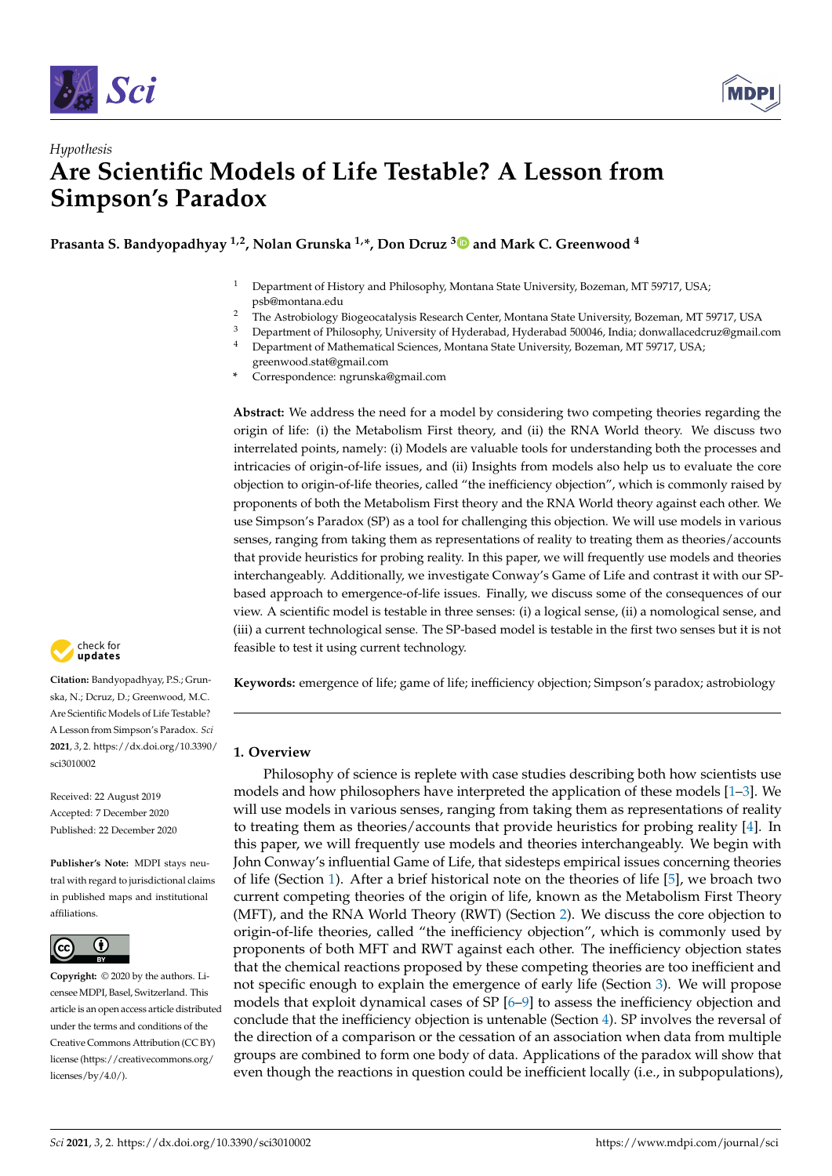



# *Hypothesis* **Are Scientific Models of Life Testable? A Lesson from Simpson's Paradox**

**Prasanta S. Bandyopadhyay 1,2, Nolan Grunska 1,\*, Don Dcruz [3](https://orcid.org/0000-0001-8209-0502) and Mark C. Greenwood <sup>4</sup>**

- <sup>1</sup> Department of History and Philosophy, Montana State University, Bozeman, MT 59717, USA; psb@montana.edu
- <sup>2</sup> The Astrobiology Biogeocatalysis Research Center, Montana State University, Bozeman, MT 59717, USA<br><sup>3</sup> Department of Philosophy University of Hyderabad, Hyderabad 500046, India: depysllacedery@mail.
- <sup>3</sup> Department of Philosophy, University of Hyderabad, Hyderabad 500046, India; donwallacedcruz@gmail.com<br><sup>4</sup> Department of Mathematical Sciences, Montana State University Bozaman, MT 50717, USA
- Department of Mathematical Sciences, Montana State University, Bozeman, MT 59717, USA; greenwood.stat@gmail.com
- **\*** Correspondence: ngrunska@gmail.com

**Abstract:** We address the need for a model by considering two competing theories regarding the origin of life: (i) the Metabolism First theory, and (ii) the RNA World theory. We discuss two interrelated points, namely: (i) Models are valuable tools for understanding both the processes and intricacies of origin-of-life issues, and (ii) Insights from models also help us to evaluate the core objection to origin-of-life theories, called "the inefficiency objection", which is commonly raised by proponents of both the Metabolism First theory and the RNA World theory against each other. We use Simpson's Paradox (SP) as a tool for challenging this objection. We will use models in various senses, ranging from taking them as representations of reality to treating them as theories/accounts that provide heuristics for probing reality. In this paper, we will frequently use models and theories interchangeably. Additionally, we investigate Conway's Game of Life and contrast it with our SPbased approach to emergence-of-life issues. Finally, we discuss some of the consequences of our view. A scientific model is testable in three senses: (i) a logical sense, (ii) a nomological sense, and (iii) a current technological sense. The SP-based model is testable in the first two senses but it is not feasible to test it using current technology.

**Keywords:** emergence of life; game of life; inefficiency objection; Simpson's paradox; astrobiology

## <span id="page-0-0"></span>**1. Overview**

Philosophy of science is replete with case studies describing both how scientists use models and how philosophers have interpreted the application of these models [\[1–](#page-9-0)[3\]](#page-9-1). We will use models in various senses, ranging from taking them as representations of reality to treating them as theories/accounts that provide heuristics for probing reality [\[4\]](#page-9-2). In this paper, we will frequently use models and theories interchangeably. We begin with John Conway's influential Game of Life, that sidesteps empirical issues concerning theories of life (Section [1\)](#page-0-0). After a brief historical note on the theories of life [\[5\]](#page-9-3), we broach two current competing theories of the origin of life, known as the Metabolism First Theory (MFT), and the RNA World Theory (RWT) (Section [2\)](#page-1-0). We discuss the core objection to origin-of-life theories, called "the inefficiency objection", which is commonly used by proponents of both MFT and RWT against each other. The inefficiency objection states that the chemical reactions proposed by these competing theories are too inefficient and not specific enough to explain the emergence of early life (Section [3\)](#page-1-1). We will propose models that exploit dynamical cases of SP [\[6–](#page-9-4)[9\]](#page-9-5) to assess the inefficiency objection and conclude that the inefficiency objection is untenable (Section [4\)](#page-3-0). SP involves the reversal of the direction of a comparison or the cessation of an association when data from multiple groups are combined to form one body of data. Applications of the paradox will show that even though the reactions in question could be inefficient locally (i.e., in subpopulations),



**Citation:** Bandyopadhyay, P.S.; Grunska, N.; Dcruz, D.; Greenwood, M.C. Are Scientific Models of Life Testable? A Lesson from Simpson's Paradox. *Sci* **2021**, *3*, 2. [https://dx.doi.org/10.3390/](https://dx.doi.org/10.3390/sci3010002) [sci3010002](https://dx.doi.org/10.3390/sci3010002)

Received: 22 August 2019 Accepted: 7 December 2020 Published: 22 December 2020

**Publisher's Note:** MDPI stays neutral with regard to jurisdictional claims in published maps and institutional affiliations.



**Copyright:** © 2020 by the authors. Licensee MDPI, Basel, Switzerland. This article is an open access article distributed under the terms and conditions of the Creative Commons Attribution (CC BY) license [\(https://creativecommons.org/](https://creativecommons.org/licenses/by/4.0/) [licenses/by/4.0/\)](https://creativecommons.org/licenses/by/4.0/).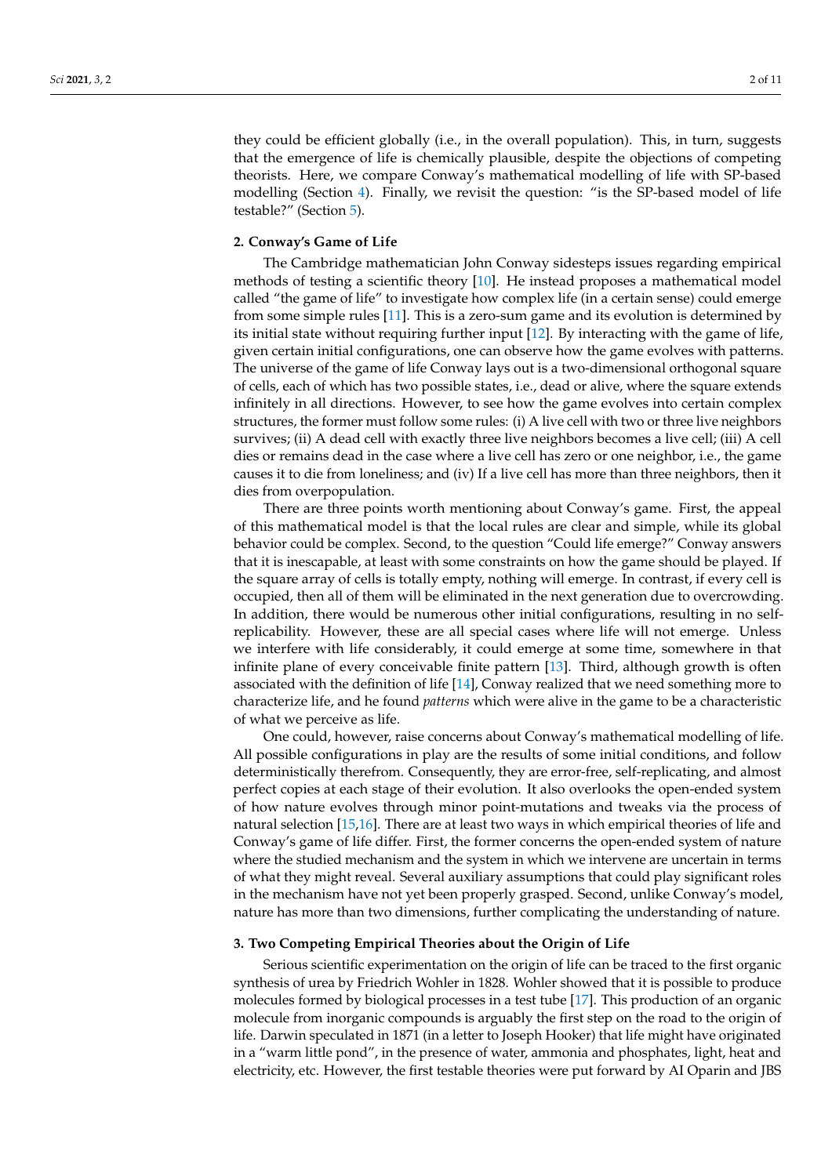they could be efficient globally (i.e., in the overall population). This, in turn, suggests that the emergence of life is chemically plausible, despite the objections of competing theorists. Here, we compare Conway's mathematical modelling of life with SP-based modelling (Section [4\)](#page-3-0). Finally, we revisit the question: "is the SP-based model of life testable?" (Section [5\)](#page-4-0).

## <span id="page-1-0"></span>**2. Conway's Game of Life**

The Cambridge mathematician John Conway sidesteps issues regarding empirical methods of testing a scientific theory [\[10\]](#page-9-6). He instead proposes a mathematical model called "the game of life" to investigate how complex life (in a certain sense) could emerge from some simple rules [\[11\]](#page-9-7). This is a zero-sum game and its evolution is determined by its initial state without requiring further input [\[12\]](#page-9-8). By interacting with the game of life, given certain initial configurations, one can observe how the game evolves with patterns. The universe of the game of life Conway lays out is a two-dimensional orthogonal square of cells, each of which has two possible states, i.e., dead or alive, where the square extends infinitely in all directions. However, to see how the game evolves into certain complex structures, the former must follow some rules: (i) A live cell with two or three live neighbors survives; (ii) A dead cell with exactly three live neighbors becomes a live cell; (iii) A cell dies or remains dead in the case where a live cell has zero or one neighbor, i.e., the game causes it to die from loneliness; and (iv) If a live cell has more than three neighbors, then it dies from overpopulation.

There are three points worth mentioning about Conway's game. First, the appeal of this mathematical model is that the local rules are clear and simple, while its global behavior could be complex. Second, to the question "Could life emerge?" Conway answers that it is inescapable, at least with some constraints on how the game should be played. If the square array of cells is totally empty, nothing will emerge. In contrast, if every cell is occupied, then all of them will be eliminated in the next generation due to overcrowding. In addition, there would be numerous other initial configurations, resulting in no selfreplicability. However, these are all special cases where life will not emerge. Unless we interfere with life considerably, it could emerge at some time, somewhere in that infinite plane of every conceivable finite pattern [\[13\]](#page-9-9). Third, although growth is often associated with the definition of life [\[14\]](#page-9-10), Conway realized that we need something more to characterize life, and he found *patterns* which were alive in the game to be a characteristic of what we perceive as life.

One could, however, raise concerns about Conway's mathematical modelling of life. All possible configurations in play are the results of some initial conditions, and follow deterministically therefrom. Consequently, they are error-free, self-replicating, and almost perfect copies at each stage of their evolution. It also overlooks the open-ended system of how nature evolves through minor point-mutations and tweaks via the process of natural selection [\[15](#page-9-11)[,16\]](#page-9-12). There are at least two ways in which empirical theories of life and Conway's game of life differ. First, the former concerns the open-ended system of nature where the studied mechanism and the system in which we intervene are uncertain in terms of what they might reveal. Several auxiliary assumptions that could play significant roles in the mechanism have not yet been properly grasped. Second, unlike Conway's model, nature has more than two dimensions, further complicating the understanding of nature.

#### <span id="page-1-1"></span>**3. Two Competing Empirical Theories about the Origin of Life**

Serious scientific experimentation on the origin of life can be traced to the first organic synthesis of urea by Friedrich Wohler in 1828. Wohler showed that it is possible to produce molecules formed by biological processes in a test tube [\[17\]](#page-9-13). This production of an organic molecule from inorganic compounds is arguably the first step on the road to the origin of life. Darwin speculated in 1871 (in a letter to Joseph Hooker) that life might have originated in a "warm little pond", in the presence of water, ammonia and phosphates, light, heat and electricity, etc. However, the first testable theories were put forward by AI Oparin and JBS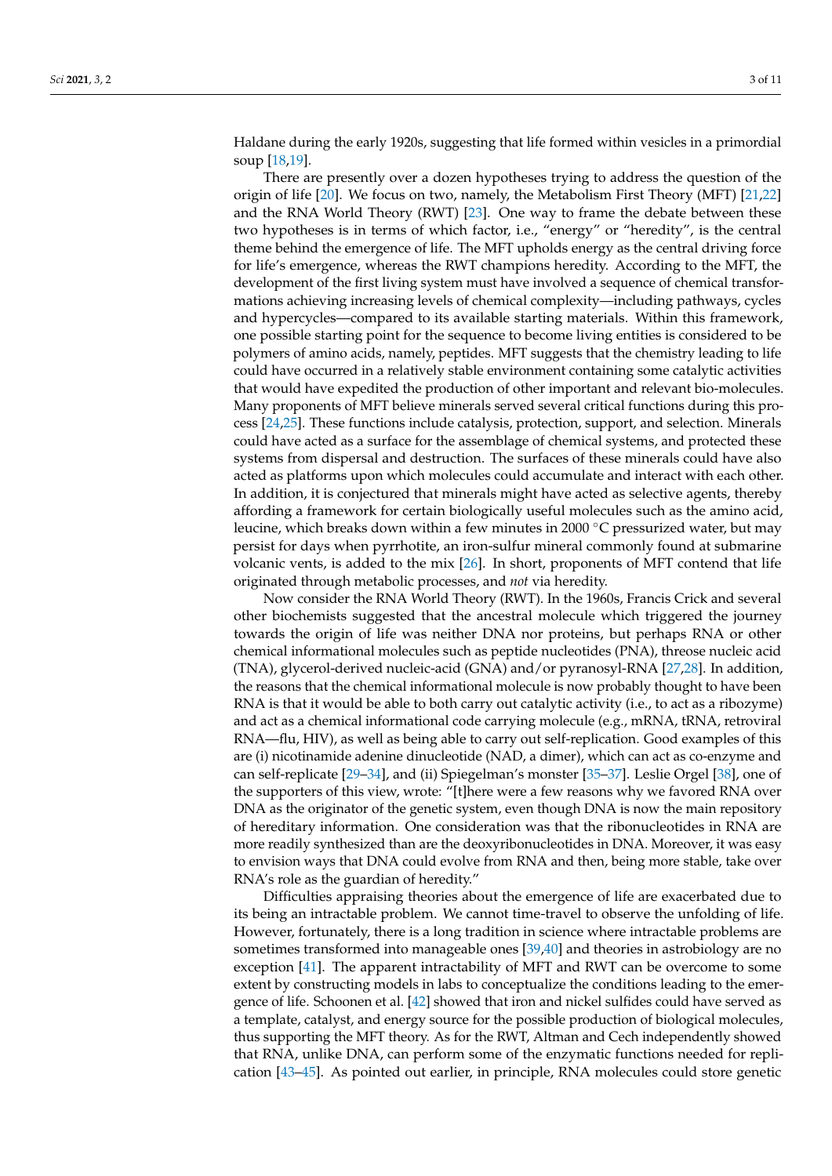Haldane during the early 1920s, suggesting that life formed within vesicles in a primordial soup [\[18,](#page-9-14)[19\]](#page-9-15).

There are presently over a dozen hypotheses trying to address the question of the origin of life [\[20\]](#page-9-16). We focus on two, namely, the Metabolism First Theory (MFT) [\[21](#page-9-17)[,22\]](#page-9-18) and the RNA World Theory (RWT) [\[23\]](#page-9-19). One way to frame the debate between these two hypotheses is in terms of which factor, i.e., "energy" or "heredity", is the central theme behind the emergence of life. The MFT upholds energy as the central driving force for life's emergence, whereas the RWT champions heredity. According to the MFT, the development of the first living system must have involved a sequence of chemical transformations achieving increasing levels of chemical complexity—including pathways, cycles and hypercycles—compared to its available starting materials. Within this framework, one possible starting point for the sequence to become living entities is considered to be polymers of amino acids, namely, peptides. MFT suggests that the chemistry leading to life could have occurred in a relatively stable environment containing some catalytic activities that would have expedited the production of other important and relevant bio-molecules. Many proponents of MFT believe minerals served several critical functions during this process [\[24](#page-9-20)[,25\]](#page-9-21). These functions include catalysis, protection, support, and selection. Minerals could have acted as a surface for the assemblage of chemical systems, and protected these systems from dispersal and destruction. The surfaces of these minerals could have also acted as platforms upon which molecules could accumulate and interact with each other. In addition, it is conjectured that minerals might have acted as selective agents, thereby affording a framework for certain biologically useful molecules such as the amino acid, leucine, which breaks down within a few minutes in 2000 ◦C pressurized water, but may persist for days when pyrrhotite, an iron-sulfur mineral commonly found at submarine volcanic vents, is added to the mix [\[26\]](#page-9-22). In short, proponents of MFT contend that life originated through metabolic processes, and *not* via heredity.

Now consider the RNA World Theory (RWT). In the 1960s, Francis Crick and several other biochemists suggested that the ancestral molecule which triggered the journey towards the origin of life was neither DNA nor proteins, but perhaps RNA or other chemical informational molecules such as peptide nucleotides (PNA), threose nucleic acid (TNA), glycerol-derived nucleic-acid (GNA) and/or pyranosyl-RNA [\[27,](#page-9-23)[28\]](#page-9-24). In addition, the reasons that the chemical informational molecule is now probably thought to have been RNA is that it would be able to both carry out catalytic activity (i.e., to act as a ribozyme) and act as a chemical informational code carrying molecule (e.g., mRNA, tRNA, retroviral RNA—flu, HIV), as well as being able to carry out self-replication. Good examples of this are (i) nicotinamide adenine dinucleotide (NAD, a dimer), which can act as co-enzyme and can self-replicate [\[29–](#page-9-25)[34\]](#page-9-26), and (ii) Spiegelman's monster [\[35](#page-9-27)[–37\]](#page-9-28). Leslie Orgel [\[38\]](#page-9-29), one of the supporters of this view, wrote: "[t]here were a few reasons why we favored RNA over DNA as the originator of the genetic system, even though DNA is now the main repository of hereditary information. One consideration was that the ribonucleotides in RNA are more readily synthesized than are the deoxyribonucleotides in DNA. Moreover, it was easy to envision ways that DNA could evolve from RNA and then, being more stable, take over RNA's role as the guardian of heredity."

Difficulties appraising theories about the emergence of life are exacerbated due to its being an intractable problem. We cannot time-travel to observe the unfolding of life. However, fortunately, there is a long tradition in science where intractable problems are sometimes transformed into manageable ones [\[39,](#page-10-0)[40\]](#page-10-1) and theories in astrobiology are no exception [\[41\]](#page-10-2). The apparent intractability of MFT and RWT can be overcome to some extent by constructing models in labs to conceptualize the conditions leading to the emergence of life. Schoonen et al. [\[42\]](#page-10-3) showed that iron and nickel sulfides could have served as a template, catalyst, and energy source for the possible production of biological molecules, thus supporting the MFT theory. As for the RWT, Altman and Cech independently showed that RNA, unlike DNA, can perform some of the enzymatic functions needed for replication [\[43](#page-10-4)[–45\]](#page-10-5). As pointed out earlier, in principle, RNA molecules could store genetic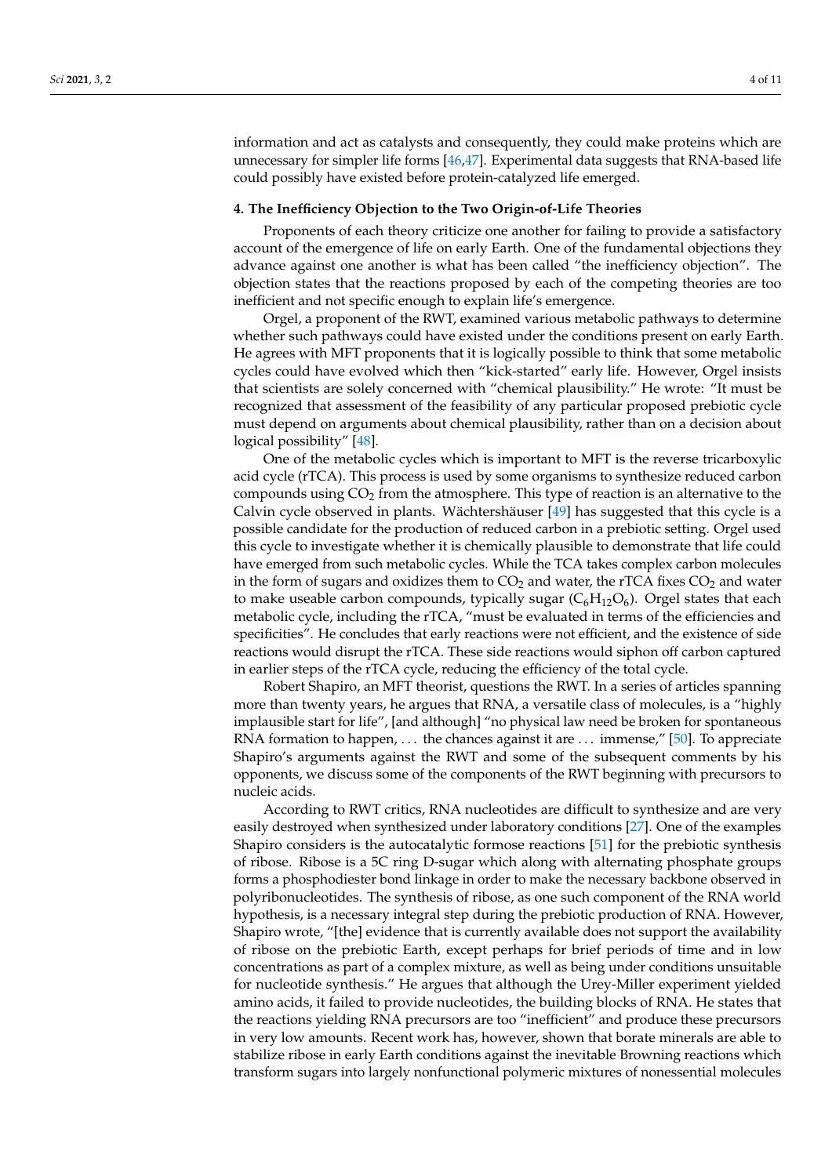information and act as catalysts and consequently, they could make proteins which are unnecessary for simpler life forms [\[46](#page-10-6)[,47\]](#page-10-7). Experimental data suggests that RNA-based life could possibly have existed before protein-catalyzed life emerged.

#### <span id="page-3-0"></span>**4. The Inefficiency Objection to the Two Origin-of-Life Theories**

Proponents of each theory criticize one another for failing to provide a satisfactory account of the emergence of life on early Earth. One of the fundamental objections they advance against one another is what has been called "the inefficiency objection". The objection states that the reactions proposed by each of the competing theories are too inefficient and not specific enough to explain life's emergence.

Orgel, a proponent of the RWT, examined various metabolic pathways to determine whether such pathways could have existed under the conditions present on early Earth. He agrees with MFT proponents that it is logically possible to think that some metabolic cycles could have evolved which then "kick-started" early life. However, Orgel insists that scientists are solely concerned with "chemical plausibility." He wrote: "It must be recognized that assessment of the feasibility of any particular proposed prebiotic cycle must depend on arguments about chemical plausibility, rather than on a decision about logical possibility" [\[48\]](#page-10-8).

One of the metabolic cycles which is important to MFT is the reverse tricarboxylic acid cycle (rTCA). This process is used by some organisms to synthesize reduced carbon compounds using  $CO<sub>2</sub>$  from the atmosphere. This type of reaction is an alternative to the Calvin cycle observed in plants. Wächtershäuser [\[49\]](#page-10-9) has suggested that this cycle is a possible candidate for the production of reduced carbon in a prebiotic setting. Orgel used this cycle to investigate whether it is chemically plausible to demonstrate that life could have emerged from such metabolic cycles. While the TCA takes complex carbon molecules in the form of sugars and oxidizes them to  $CO<sub>2</sub>$  and water, the rTCA fixes  $CO<sub>2</sub>$  and water to make useable carbon compounds, typically sugar  $(C_6H_{12}O_6)$ . Orgel states that each metabolic cycle, including the rTCA, "must be evaluated in terms of the efficiencies and specificities". He concludes that early reactions were not efficient, and the existence of side reactions would disrupt the rTCA. These side reactions would siphon off carbon captured in earlier steps of the rTCA cycle, reducing the efficiency of the total cycle.

Robert Shapiro, an MFT theorist, questions the RWT. In a series of articles spanning more than twenty years, he argues that RNA, a versatile class of molecules, is a "highly implausible start for life", [and although] "no physical law need be broken for spontaneous RNA formation to happen, ... the chances against it are ... immense," [\[50\]](#page-10-10). To appreciate Shapiro's arguments against the RWT and some of the subsequent comments by his opponents, we discuss some of the components of the RWT beginning with precursors to nucleic acids.

According to RWT critics, RNA nucleotides are difficult to synthesize and are very easily destroyed when synthesized under laboratory conditions [\[27\]](#page-9-23). One of the examples Shapiro considers is the autocatalytic formose reactions [\[51\]](#page-10-11) for the prebiotic synthesis of ribose. Ribose is a 5C ring D-sugar which along with alternating phosphate groups forms a phosphodiester bond linkage in order to make the necessary backbone observed in polyribonucleotides. The synthesis of ribose, as one such component of the RNA world hypothesis, is a necessary integral step during the prebiotic production of RNA. However, Shapiro wrote, "[the] evidence that is currently available does not support the availability of ribose on the prebiotic Earth, except perhaps for brief periods of time and in low concentrations as part of a complex mixture, as well as being under conditions unsuitable for nucleotide synthesis." He argues that although the Urey-Miller experiment yielded amino acids, it failed to provide nucleotides, the building blocks of RNA. He states that the reactions yielding RNA precursors are too "inefficient" and produce these precursors in very low amounts. Recent work has, however, shown that borate minerals are able to stabilize ribose in early Earth conditions against the inevitable Browning reactions which transform sugars into largely nonfunctional polymeric mixtures of nonessential molecules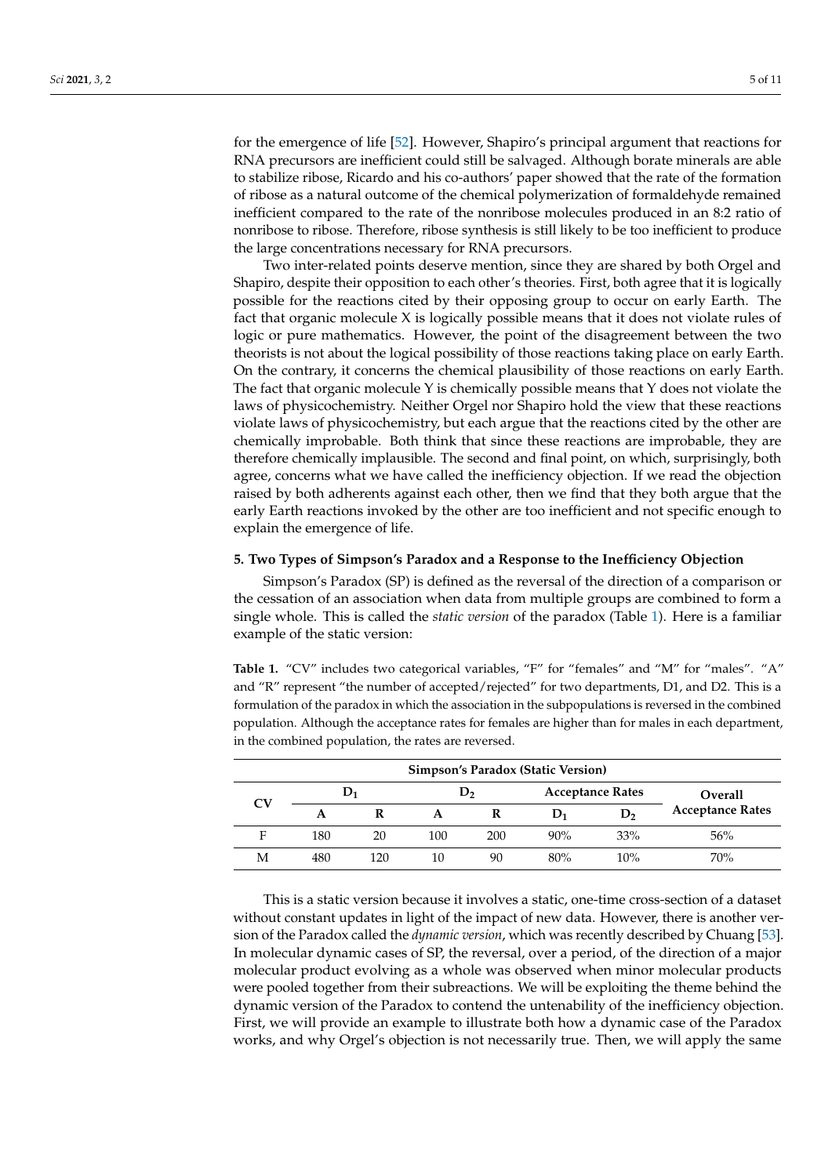for the emergence of life [\[52\]](#page-10-12). However, Shapiro's principal argument that reactions for RNA precursors are inefficient could still be salvaged. Although borate minerals are able to stabilize ribose, Ricardo and his co-authors' paper showed that the rate of the formation of ribose as a natural outcome of the chemical polymerization of formaldehyde remained inefficient compared to the rate of the nonribose molecules produced in an 8:2 ratio of nonribose to ribose. Therefore, ribose synthesis is still likely to be too inefficient to produce the large concentrations necessary for RNA precursors.

Two inter-related points deserve mention, since they are shared by both Orgel and Shapiro, despite their opposition to each other's theories. First, both agree that it is logically possible for the reactions cited by their opposing group to occur on early Earth. The fact that organic molecule X is logically possible means that it does not violate rules of logic or pure mathematics. However, the point of the disagreement between the two theorists is not about the logical possibility of those reactions taking place on early Earth. On the contrary, it concerns the chemical plausibility of those reactions on early Earth. The fact that organic molecule Y is chemically possible means that Y does not violate the laws of physicochemistry. Neither Orgel nor Shapiro hold the view that these reactions violate laws of physicochemistry, but each argue that the reactions cited by the other are chemically improbable. Both think that since these reactions are improbable, they are therefore chemically implausible. The second and final point, on which, surprisingly, both agree, concerns what we have called the inefficiency objection. If we read the objection raised by both adherents against each other, then we find that they both argue that the early Earth reactions invoked by the other are too inefficient and not specific enough to explain the emergence of life.

## <span id="page-4-0"></span>**5. Two Types of Simpson's Paradox and a Response to the Inefficiency Objection**

Simpson's Paradox (SP) is defined as the reversal of the direction of a comparison or the cessation of an association when data from multiple groups are combined to form a single whole. This is called the *static version* of the paradox (Table [1\)](#page-4-1). Here is a familiar example of the static version:

<span id="page-4-1"></span>Table 1. "CV" includes two categorical variables, "F" for "females" and "M" for "males". "A" and "R" represent "the number of accepted/rejected" for two departments, D1, and D2. This is a formulation of the paradox in which the association in the subpopulations is reversed in the combined population. Although the acceptance rates for females are higher than for males in each department, in the combined population, the rates are reversed.

|    |       |     |                |     | Simpson's Paradox (Static Version) |     |                         |
|----|-------|-----|----------------|-----|------------------------------------|-----|-------------------------|
| CV | $D_1$ |     | D <sub>2</sub> |     | <b>Acceptance Rates</b>            |     | <b>Overall</b>          |
|    |       |     |                |     | D1                                 | D,  | <b>Acceptance Rates</b> |
| Е  | 180   | 20  | 100            | 200 | 90%                                | 33% | 56%                     |
| M  | 480   | 120 | 10             | 90  | 80%                                | 10% | 70%                     |

This is a static version because it involves a static, one-time cross-section of a dataset without constant updates in light of the impact of new data. However, there is another version of the Paradox called the *dynamic version*, which was recently described by Chuang [\[53\]](#page-10-13). In molecular dynamic cases of SP, the reversal, over a period, of the direction of a major molecular product evolving as a whole was observed when minor molecular products were pooled together from their subreactions. We will be exploiting the theme behind the dynamic version of the Paradox to contend the untenability of the inefficiency objection. First, we will provide an example to illustrate both how a dynamic case of the Paradox works, and why Orgel's objection is not necessarily true. Then, we will apply the same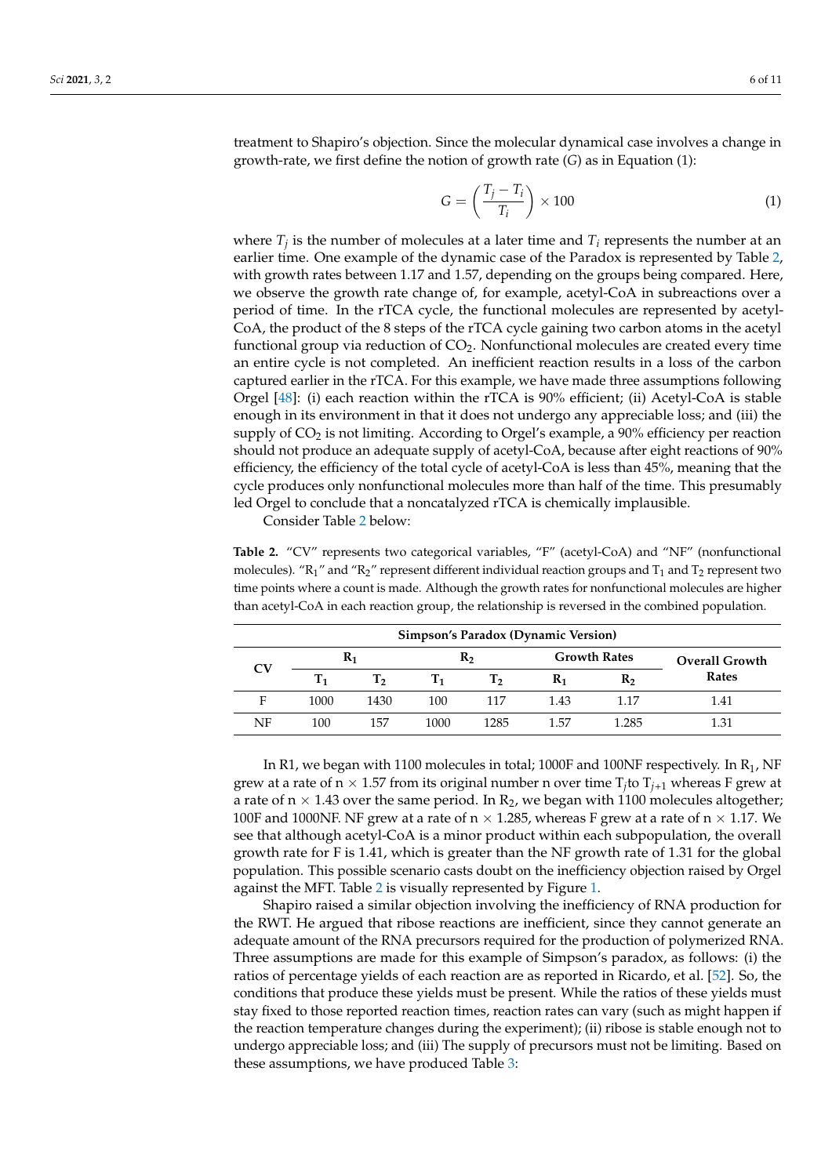treatment to Shapiro's objection. Since the molecular dynamical case involves a change in growth-rate, we first define the notion of growth rate (*G*) as in Equation (1):

$$
G = \left(\frac{T_j - T_i}{T_i}\right) \times 100\tag{1}
$$

where  $T_j$  is the number of molecules at a later time and  $T_i$  represents the number at an earlier time. One example of the dynamic case of the Paradox is represented by Table [2,](#page-5-0) with growth rates between 1.17 and 1.57, depending on the groups being compared. Here, we observe the growth rate change of, for example, acetyl-CoA in subreactions over a period of time. In the rTCA cycle, the functional molecules are represented by acetyl-CoA, the product of the 8 steps of the rTCA cycle gaining two carbon atoms in the acetyl functional group via reduction of  $CO<sub>2</sub>$ . Nonfunctional molecules are created every time an entire cycle is not completed. An inefficient reaction results in a loss of the carbon captured earlier in the rTCA. For this example, we have made three assumptions following Orgel [\[48\]](#page-10-8): (i) each reaction within the rTCA is 90% efficient; (ii) Acetyl-CoA is stable enough in its environment in that it does not undergo any appreciable loss; and (iii) the supply of  $CO<sub>2</sub>$  is not limiting. According to Orgel's example, a 90% efficiency per reaction should not produce an adequate supply of acetyl-CoA, because after eight reactions of 90% efficiency, the efficiency of the total cycle of acetyl-CoA is less than 45%, meaning that the cycle produces only nonfunctional molecules more than half of the time. This presumably led Orgel to conclude that a noncatalyzed rTCA is chemically implausible.

Consider Table [2](#page-5-0) below:

<span id="page-5-0"></span>**Table 2.** "CV" represents two categorical variables, "F" (acetyl-CoA) and "NF" (nonfunctional molecules). " $R_1$ " and " $R_2$ " represent different individual reaction groups and  $T_1$  and  $T_2$  represent two time points where a count is made. Although the growth rates for nonfunctional molecules are higher than acetyl-CoA in each reaction group, the relationship is reversed in the combined population.

| <b>Simpson's Paradox (Dynamic Version)</b> |         |      |      |      |       |                     |                       |  |
|--------------------------------------------|---------|------|------|------|-------|---------------------|-----------------------|--|
|                                            | $R_1$   |      |      | R,   |       | <b>Growth Rates</b> | <b>Overall Growth</b> |  |
| CV                                         | $T_{1}$ | т,   | Т1   | T,   | $R_1$ | R,                  | Rates                 |  |
| F                                          | 1000    | 1430 | 100  | 117  | 1.43  | 1.17                | 1.41                  |  |
| NF                                         | 100     | 157  | 1000 | 1285 | 1.57  | 1.285               | 1.31                  |  |

In R1, we began with 1100 molecules in total; 1000F and 100NF respectively. In  $R_1$ , NF grew at a rate of  $n \times 1.57$  from its original number n over time  $T_j$  to  $T_{j+1}$  whereas F grew at a rate of  $n \times 1.43$  over the same period. In  $R_2$ , we began with 1100 molecules altogether; 100F and 1000NF. NF grew at a rate of  $n \times 1.285$ , whereas F grew at a rate of  $n \times 1.17$ . We see that although acetyl-CoA is a minor product within each subpopulation, the overall growth rate for F is 1.41, which is greater than the NF growth rate of 1.31 for the global population. This possible scenario casts doubt on the inefficiency objection raised by Orgel against the MFT. Table [2](#page-5-0) is visually represented by Figure [1.](#page-6-0)

Shapiro raised a similar objection involving the inefficiency of RNA production for the RWT. He argued that ribose reactions are inefficient, since they cannot generate an adequate amount of the RNA precursors required for the production of polymerized RNA. Three assumptions are made for this example of Simpson's paradox, as follows: (i) the ratios of percentage yields of each reaction are as reported in Ricardo, et al. [\[52\]](#page-10-12). So, the conditions that produce these yields must be present. While the ratios of these yields must stay fixed to those reported reaction times, reaction rates can vary (such as might happen if the reaction temperature changes during the experiment); (ii) ribose is stable enough not to undergo appreciable loss; and (iii) The supply of precursors must not be limiting. Based on these assumptions, we have produced Table [3:](#page-6-1)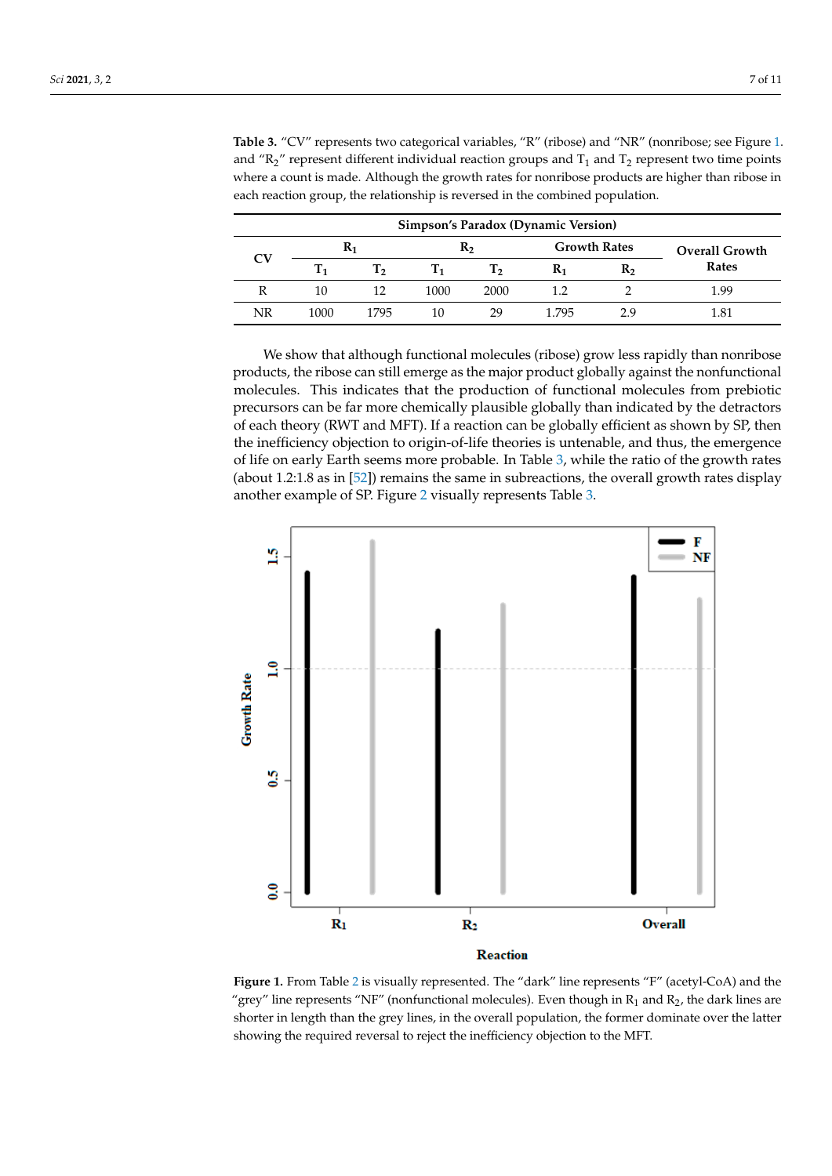<span id="page-6-1"></span>

|    |                  |                  |                |      | <b>Simpson's Paradox (Dynamic Version)</b> |                |                       |
|----|------------------|------------------|----------------|------|--------------------------------------------|----------------|-----------------------|
| CV | $R_1$            |                  | R <sub>2</sub> |      | <b>Growth Rates</b>                        |                | <b>Overall Growth</b> |
|    | $\mathbf{T_{1}}$ | $\mathbf{T}_{2}$ | Т1             | т,   | $\mathbf{R}_1$                             | R <sub>2</sub> | Rates                 |
| R  | 10               | 12               | 1000           | 2000 | 1.2                                        |                | 1.99                  |
| NR | 1000             | 1795             | 10             | 29   | 1.795                                      | 2.9            | 1.81                  |

**Table 3.** "CV" represents two categorical variables, "R" (ribose) and "NR" (nonribose; see Figure [1.](#page-6-0) and " $R_2$ " represent different individual reaction groups and  $T_1$  and  $T_2$  represent two time points where a count is made. Although the growth rates for nonribose products are higher than ribose in each reaction group, the relationship is reversed in the combined population.

We show that although functional molecules (ribose) grow less rapidly than nonribose products, the ribose can still emerge as the major product globally against the nonfunctional molecules. This indicates that the production of functional molecules from prebiotic precursors can be far more chemically plausible globally than indicated by the detractors of each theory (RWT and MFT). If a reaction can be globally efficient as shown by SP, then the inefficiency objection to origin-of-life theories is untenable, and thus, the emergence of life on early Earth seems more probable. In Table [3,](#page-6-1) while the ratio of the growth rates (about 1.2:1.8 as in [\[52\]](#page-10-12)) remains the same in subreactions, the overall growth rates display  $q$  about 1.[2](#page-7-0):1.1.8 as in  $[52]$ ) remains the same in subreactions, the overall growth rate another example of SP. Figure 2 visually represents Table [3.](#page-6-1) another example of SP. Figure 2 visually represents Table 3.

<span id="page-6-0"></span>

**Reaction** 

**Figure 1.** From Table 2 [is v](#page-5-0)isually represented. The "dark" line represents "F" (acetyl-CoA) and **Figure 1.** From Table 2 is visually represented. The "dark" line represents "F" (acetyl-CoA) and the "grey" line represents "NF" (nonfunctional molecules). Even though in  $R_1$  and  $R_2$ , the dark lines are  $\sigma$ shorter in length than the grey lines, in the overall population, the former dominate over the latter showing the required reversal to reject the inefficiency objection to the MFT.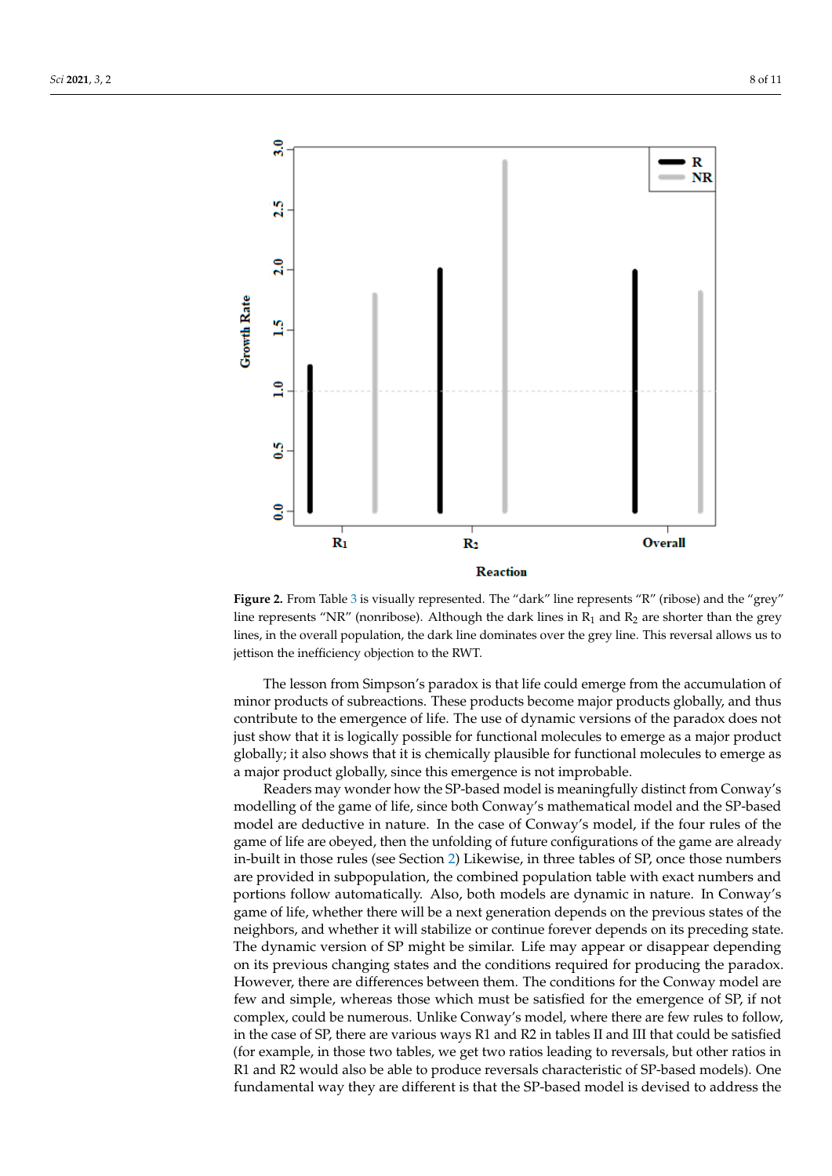<span id="page-7-0"></span>

*Sci* **2021**, *3*, x FOR PEER REVIEW 9 of 11

**Figure 2.** From Table 3 [is](#page-6-1) visually represented. The "dark" line represents "R" (ribose) and the **Figure 2.** From Table 3 is visually represented. The "dark" line represents "R" (ribose) and the "grey" expans in their theorem the represented the data and represented to the day and line represents "NR" (nonribose). Although the dark lines in  $R_1$  and  $R_2$  are shorter than the grey lines, in the overall population, the dark line dominates over the grey line. This reversal allows us to jettison the inefficiency objection to the RWT.

The lesson from Simpson's paradox is that life could emerge from the accumulation of minor products of subreactions. These products become major products globally, and thus contribute to the emergence of life. The use of dynamic versions of the paradox does not just show that it is logically possible for functional molecules to emerge as a major product globally; it also shows that it is chemically plausible for functional molecules to emerge as a major product globally, since this emergence is not improbable.

Readers may wonder how the SP-based model is meaningfully distinct from Conway's modelling of the game of life, since both Conway's mathematical model and the SP-based model is the game of my since sear corrido in the first sense, because it is logically consistent. model are deductive in nature. In the case of Conway's model, if the four rules of the model are deductive in nature. In the case of Conway's model, if the four rules of the game of life are obeyed, then the unfolding of future configurations of the game are already in-built in those rules (see Section [2\)](#page-1-0) Likewise, in three tables of SP, once those numbers are provided in subpopulation, the combined population table with exact numbers and portions follow automatically. Also, both models are dynamic in nature. In Conway's game of life, whether there will be a next generation depends on the previous states of the neighbors, and whether it will stabilize or continue forever depends on its preceding state. The dynamic version of SP might be similar. Life may appear or disappear depending on its previous changing states and the conditions required for producing the paradox. However, there are differences between them. The conditions for the Conway model are few and simple, whereas those which must be satisfied for the emergence of SP, if not complex, could be numerous. Unlike Conway's model, where there are few rules to follow, in the case of SP, there are various ways R1 and R2 in tables II and III that could be satisfied (for example, in those two tables, we get two ratios leading to reversals, but other ratios in R1 and R2 would also be able to produce reversals characteristic of SP-based models). One fundamental way they are different is that the SP-based model is devised to address the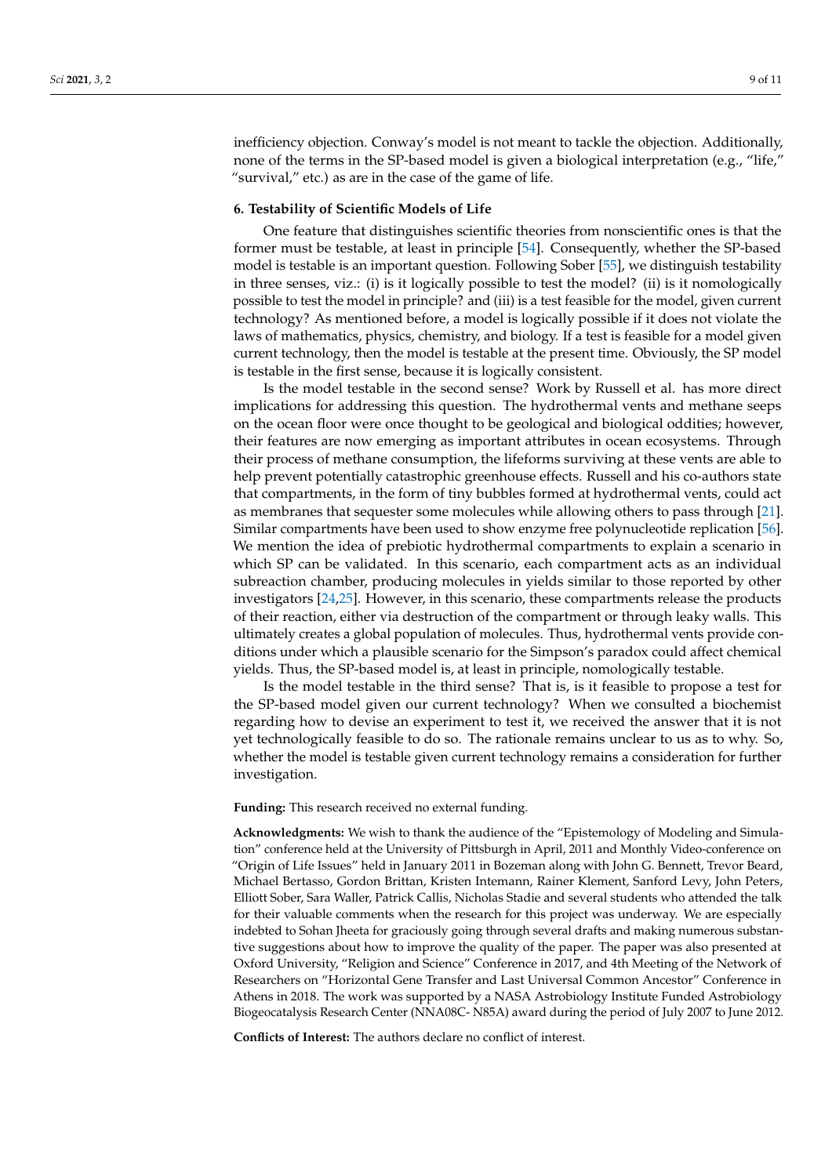inefficiency objection. Conway's model is not meant to tackle the objection. Additionally, none of the terms in the SP-based model is given a biological interpretation (e.g., "life," "survival," etc.) as are in the case of the game of life.

#### **6. Testability of Scientific Models of Life**

One feature that distinguishes scientific theories from nonscientific ones is that the former must be testable, at least in principle [\[54\]](#page-10-14). Consequently, whether the SP-based model is testable is an important question. Following Sober [\[55\]](#page-10-15), we distinguish testability in three senses, viz.: (i) is it logically possible to test the model? (ii) is it nomologically possible to test the model in principle? and (iii) is a test feasible for the model, given current technology? As mentioned before, a model is logically possible if it does not violate the laws of mathematics, physics, chemistry, and biology. If a test is feasible for a model given current technology, then the model is testable at the present time. Obviously, the SP model is testable in the first sense, because it is logically consistent.

Is the model testable in the second sense? Work by Russell et al. has more direct implications for addressing this question. The hydrothermal vents and methane seeps on the ocean floor were once thought to be geological and biological oddities; however, their features are now emerging as important attributes in ocean ecosystems. Through their process of methane consumption, the lifeforms surviving at these vents are able to help prevent potentially catastrophic greenhouse effects. Russell and his co-authors state that compartments, in the form of tiny bubbles formed at hydrothermal vents, could act as membranes that sequester some molecules while allowing others to pass through [\[21\]](#page-9-17). Similar compartments have been used to show enzyme free polynucleotide replication [\[56\]](#page-10-16). We mention the idea of prebiotic hydrothermal compartments to explain a scenario in which SP can be validated. In this scenario, each compartment acts as an individual subreaction chamber, producing molecules in yields similar to those reported by other investigators [\[24,](#page-9-20)[25\]](#page-9-21). However, in this scenario, these compartments release the products of their reaction, either via destruction of the compartment or through leaky walls. This ultimately creates a global population of molecules. Thus, hydrothermal vents provide conditions under which a plausible scenario for the Simpson's paradox could affect chemical yields. Thus, the SP-based model is, at least in principle, nomologically testable.

Is the model testable in the third sense? That is, is it feasible to propose a test for the SP-based model given our current technology? When we consulted a biochemist regarding how to devise an experiment to test it, we received the answer that it is not yet technologically feasible to do so. The rationale remains unclear to us as to why. So, whether the model is testable given current technology remains a consideration for further investigation.

**Funding:** This research received no external funding.

**Acknowledgments:** We wish to thank the audience of the "Epistemology of Modeling and Simulation" conference held at the University of Pittsburgh in April, 2011 and Monthly Video-conference on "Origin of Life Issues" held in January 2011 in Bozeman along with John G. Bennett, Trevor Beard, Michael Bertasso, Gordon Brittan, Kristen Intemann, Rainer Klement, Sanford Levy, John Peters, Elliott Sober, Sara Waller, Patrick Callis, Nicholas Stadie and several students who attended the talk for their valuable comments when the research for this project was underway. We are especially indebted to Sohan Jheeta for graciously going through several drafts and making numerous substantive suggestions about how to improve the quality of the paper. The paper was also presented at Oxford University, "Religion and Science" Conference in 2017, and 4th Meeting of the Network of Researchers on "Horizontal Gene Transfer and Last Universal Common Ancestor" Conference in Athens in 2018. The work was supported by a NASA Astrobiology Institute Funded Astrobiology Biogeocatalysis Research Center (NNA08C- N85A) award during the period of July 2007 to June 2012.

**Conflicts of Interest:** The authors declare no conflict of interest.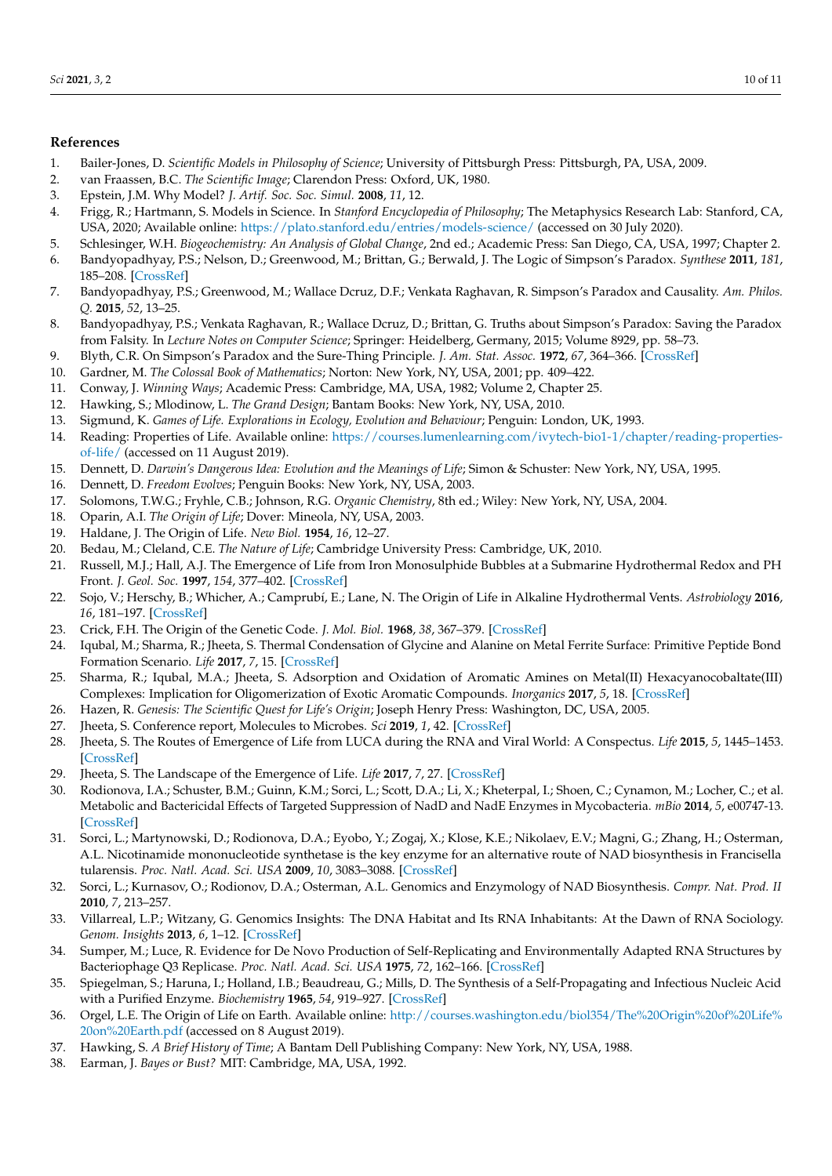## **References**

- <span id="page-9-0"></span>1. Bailer-Jones, D. *Scientific Models in Philosophy of Science*; University of Pittsburgh Press: Pittsburgh, PA, USA, 2009.
- 2. van Fraassen, B.C. *The Scientific Image*; Clarendon Press: Oxford, UK, 1980.
- <span id="page-9-1"></span>3. Epstein, J.M. Why Model? *J. Artif. Soc. Soc. Simul.* **2008**, *11*, 12.
- <span id="page-9-2"></span>4. Frigg, R.; Hartmann, S. Models in Science. In *Stanford Encyclopedia of Philosophy*; The Metaphysics Research Lab: Stanford, CA, USA, 2020; Available online: <https://plato.stanford.edu/entries/models-science/> (accessed on 30 July 2020).
- <span id="page-9-3"></span>5. Schlesinger, W.H. *Biogeochemistry: An Analysis of Global Change*, 2nd ed.; Academic Press: San Diego, CA, USA, 1997; Chapter 2.
- <span id="page-9-4"></span>6. Bandyopadhyay, P.S.; Nelson, D.; Greenwood, M.; Brittan, G.; Berwald, J. The Logic of Simpson's Paradox. *Synthese* **2011**, *181*, 185–208. [\[CrossRef\]](http://dx.doi.org/10.1007/s11229-010-9797-0)
- 7. Bandyopadhyay, P.S.; Greenwood, M.; Wallace Dcruz, D.F.; Venkata Raghavan, R. Simpson's Paradox and Causality. *Am. Philos. Q.* **2015**, *52*, 13–25.
- 8. Bandyopadhyay, P.S.; Venkata Raghavan, R.; Wallace Dcruz, D.; Brittan, G. Truths about Simpson's Paradox: Saving the Paradox from Falsity. In *Lecture Notes on Computer Science*; Springer: Heidelberg, Germany, 2015; Volume 8929, pp. 58–73.
- <span id="page-9-5"></span>9. Blyth, C.R. On Simpson's Paradox and the Sure-Thing Principle. *J. Am. Stat. Assoc.* **1972**, *67*, 364–366. [\[CrossRef\]](http://dx.doi.org/10.1080/01621459.1972.10482387)
- <span id="page-9-6"></span>10. Gardner, M. *The Colossal Book of Mathematics*; Norton: New York, NY, USA, 2001; pp. 409–422.
- <span id="page-9-7"></span>11. Conway, J. *Winning Ways*; Academic Press: Cambridge, MA, USA, 1982; Volume 2, Chapter 25.
- <span id="page-9-8"></span>12. Hawking, S.; Mlodinow, L. *The Grand Design*; Bantam Books: New York, NY, USA, 2010.
- <span id="page-9-9"></span>13. Sigmund, K. *Games of Life. Explorations in Ecology, Evolution and Behaviour*; Penguin: London, UK, 1993.
- <span id="page-9-10"></span>14. Reading: Properties of Life. Available online: [https://courses.lumenlearning.com/ivytech-bio1-1/chapter/reading-properties](https://courses.lumenlearning.com/ivytech-bio1-1/chapter/reading-properties-of-life/)[of-life/](https://courses.lumenlearning.com/ivytech-bio1-1/chapter/reading-properties-of-life/) (accessed on 11 August 2019).
- <span id="page-9-11"></span>15. Dennett, D. *Darwin's Dangerous Idea: Evolution and the Meanings of Life*; Simon & Schuster: New York, NY, USA, 1995.
- <span id="page-9-12"></span>16. Dennett, D. *Freedom Evolves*; Penguin Books: New York, NY, USA, 2003.
- <span id="page-9-13"></span>17. Solomons, T.W.G.; Fryhle, C.B.; Johnson, R.G. *Organic Chemistry*, 8th ed.; Wiley: New York, NY, USA, 2004.
- <span id="page-9-14"></span>18. Oparin, A.I. *The Origin of Life*; Dover: Mineola, NY, USA, 2003.
- <span id="page-9-15"></span>19. Haldane, J. The Origin of Life. *New Biol.* **1954**, *16*, 12–27.
- <span id="page-9-16"></span>20. Bedau, M.; Cleland, C.E. *The Nature of Life*; Cambridge University Press: Cambridge, UK, 2010.
- <span id="page-9-17"></span>21. Russell, M.J.; Hall, A.J. The Emergence of Life from Iron Monosulphide Bubbles at a Submarine Hydrothermal Redox and PH Front. *J. Geol. Soc.* **1997**, *154*, 377–402. [\[CrossRef\]](http://dx.doi.org/10.1144/gsjgs.154.3.0377)
- <span id="page-9-18"></span>22. Sojo, V.; Herschy, B.; Whicher, A.; Camprubí, E.; Lane, N. The Origin of Life in Alkaline Hydrothermal Vents. *Astrobiology* **2016**, *16*, 181–197. [\[CrossRef\]](http://dx.doi.org/10.1089/ast.2015.1406)
- <span id="page-9-19"></span>23. Crick, F.H. The Origin of the Genetic Code. *J. Mol. Biol.* **1968**, *38*, 367–379. [\[CrossRef\]](http://dx.doi.org/10.1016/0022-2836(68)90392-6)
- <span id="page-9-20"></span>24. Iqubal, M.; Sharma, R.; Jheeta, S. Thermal Condensation of Glycine and Alanine on Metal Ferrite Surface: Primitive Peptide Bond Formation Scenario. *Life* **2017**, *7*, 15. [\[CrossRef\]](http://dx.doi.org/10.3390/life7020015)
- <span id="page-9-21"></span>25. Sharma, R.; Iqubal, M.A.; Jheeta, S. Adsorption and Oxidation of Aromatic Amines on Metal(II) Hexacyanocobaltate(III) Complexes: Implication for Oligomerization of Exotic Aromatic Compounds. *Inorganics* **2017**, *5*, 18. [\[CrossRef\]](http://dx.doi.org/10.3390/inorganics5020018)
- <span id="page-9-22"></span>26. Hazen, R. *Genesis: The Scientific Quest for Life's Origin*; Joseph Henry Press: Washington, DC, USA, 2005.
- <span id="page-9-23"></span>27. Jheeta, S. Conference report, Molecules to Microbes. *Sci* **2019**, *1*, 42. [\[CrossRef\]](http://dx.doi.org/10.3390/sci1020042)
- <span id="page-9-24"></span>28. Jheeta, S. The Routes of Emergence of Life from LUCA during the RNA and Viral World: A Conspectus. *Life* **2015**, *5*, 1445–1453. [\[CrossRef\]](http://dx.doi.org/10.3390/life5021445)
- <span id="page-9-25"></span>29. Jheeta, S. The Landscape of the Emergence of Life. *Life* **2017**, *7*, 27. [\[CrossRef\]](http://dx.doi.org/10.3390/life7020027)
- 30. Rodionova, I.A.; Schuster, B.M.; Guinn, K.M.; Sorci, L.; Scott, D.A.; Li, X.; Kheterpal, I.; Shoen, C.; Cynamon, M.; Locher, C.; et al. Metabolic and Bactericidal Effects of Targeted Suppression of NadD and NadE Enzymes in Mycobacteria. *mBio* **2014**, *5*, e00747-13. [\[CrossRef\]](http://dx.doi.org/10.1128/mBio.00747-13)
- 31. Sorci, L.; Martynowski, D.; Rodionova, D.A.; Eyobo, Y.; Zogaj, X.; Klose, K.E.; Nikolaev, E.V.; Magni, G.; Zhang, H.; Osterman, A.L. Nicotinamide mononucleotide synthetase is the key enzyme for an alternative route of NAD biosynthesis in Francisella tularensis. *Proc. Natl. Acad. Sci. USA* **2009**, *10*, 3083–3088. [\[CrossRef\]](http://dx.doi.org/10.1073/pnas.0811718106)
- 32. Sorci, L.; Kurnasov, O.; Rodionov, D.A.; Osterman, A.L. Genomics and Enzymology of NAD Biosynthesis. *Compr. Nat. Prod. II* **2010**, *7*, 213–257.
- 33. Villarreal, L.P.; Witzany, G. Genomics Insights: The DNA Habitat and Its RNA Inhabitants: At the Dawn of RNA Sociology. *Genom. Insights* **2013**, *6*, 1–12. [\[CrossRef\]](http://dx.doi.org/10.4137/GEI.S11490)
- <span id="page-9-26"></span>34. Sumper, M.; Luce, R. Evidence for De Novo Production of Self-Replicating and Environmentally Adapted RNA Structures by Bacteriophage Q3 Replicase. *Proc. Natl. Acad. Sci. USA* **1975**, *72*, 162–166. [\[CrossRef\]](http://dx.doi.org/10.1073/pnas.72.1.162)
- <span id="page-9-27"></span>35. Spiegelman, S.; Haruna, I.; Holland, I.B.; Beaudreau, G.; Mills, D. The Synthesis of a Self-Propagating and Infectious Nucleic Acid with a Purified Enzyme. *Biochemistry* **1965**, *54*, 919–927. [\[CrossRef\]](http://dx.doi.org/10.1073/pnas.54.3.919)
- 36. Orgel, L.E. The Origin of Life on Earth. Available online: [http://courses.washington.edu/biol354/The%20Origin%20of%20Life%](http://courses.washington.edu/biol354/The%20Origin%20of%20Life%20on%20Earth.pdf) [20on%20Earth.pdf](http://courses.washington.edu/biol354/The%20Origin%20of%20Life%20on%20Earth.pdf) (accessed on 8 August 2019).
- <span id="page-9-28"></span>37. Hawking, S. *A Brief History of Time*; A Bantam Dell Publishing Company: New York, NY, USA, 1988.
- <span id="page-9-29"></span>38. Earman, J. *Bayes or Bust?* MIT: Cambridge, MA, USA, 1992.